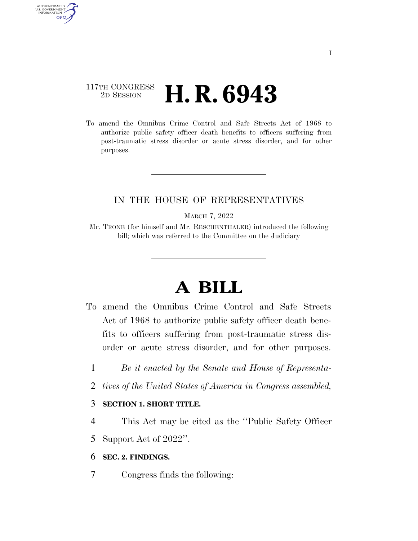## 117TH CONGRESS <sup>2D SESSION</sup> **H. R. 6943**

AUTHENTICATED U.S. GOVERNMENT **GPO** 

> To amend the Omnibus Crime Control and Safe Streets Act of 1968 to authorize public safety officer death benefits to officers suffering from post-traumatic stress disorder or acute stress disorder, and for other purposes.

### IN THE HOUSE OF REPRESENTATIVES

MARCH 7, 2022

Mr. TRONE (for himself and Mr. RESCHENTHALER) introduced the following bill; which was referred to the Committee on the Judiciary

# **A BILL**

- To amend the Omnibus Crime Control and Safe Streets Act of 1968 to authorize public safety officer death benefits to officers suffering from post-traumatic stress disorder or acute stress disorder, and for other purposes.
	- 1 *Be it enacted by the Senate and House of Representa-*
	- 2 *tives of the United States of America in Congress assembled,*

### 3 **SECTION 1. SHORT TITLE.**

4 This Act may be cited as the ''Public Safety Officer

5 Support Act of 2022''.

#### 6 **SEC. 2. FINDINGS.**

7 Congress finds the following: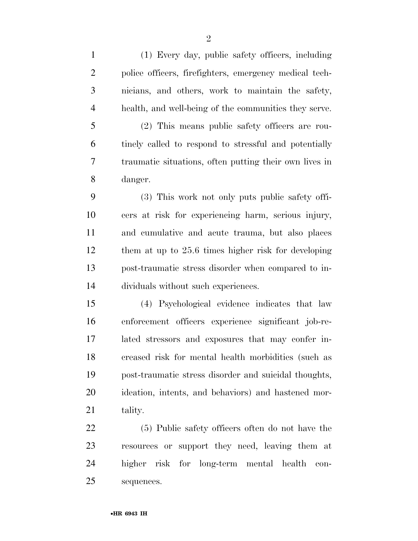(1) Every day, public safety officers, including police officers, firefighters, emergency medical tech- nicians, and others, work to maintain the safety, health, and well-being of the communities they serve.

 (2) This means public safety officers are rou- tinely called to respond to stressful and potentially traumatic situations, often putting their own lives in danger.

 (3) This work not only puts public safety offi- cers at risk for experiencing harm, serious injury, and cumulative and acute trauma, but also places them at up to 25.6 times higher risk for developing post-traumatic stress disorder when compared to in-dividuals without such experiences.

 (4) Psychological evidence indicates that law enforcement officers experience significant job-re- lated stressors and exposures that may confer in- creased risk for mental health morbidities (such as post-traumatic stress disorder and suicidal thoughts, ideation, intents, and behaviors) and hastened mor-21 tality.

 (5) Public safety officers often do not have the resources or support they need, leaving them at higher risk for long-term mental health con-sequences.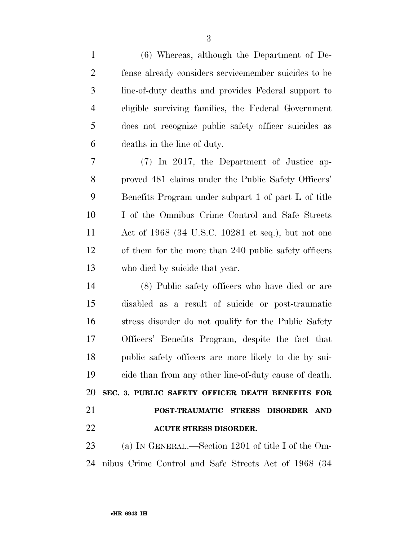| $\mathbf{1}$   | $(6)$ Whereas, although the Department of De-         |
|----------------|-------------------------------------------------------|
| $\overline{2}$ | fense already considers servicemember suicides to be  |
| 3              | line-of-duty deaths and provides Federal support to   |
| 4              | eligible surviving families, the Federal Government   |
| 5              | does not recognize public safety officer suicides as  |
| 6              | deaths in the line of duty.                           |
| $\tau$         | (7) In 2017, the Department of Justice ap-            |
| 8              | proved 481 claims under the Public Safety Officers'   |
| 9              | Benefits Program under subpart 1 of part L of title   |
| 10             | I of the Omnibus Crime Control and Safe Streets       |
| 11             | Act of 1968 (34 U.S.C. 10281 et seq.), but not one    |
| 12             | of them for the more than 240 public safety officers  |
| 13             | who died by suicide that year.                        |
| 14             | (8) Public safety officers who have died or are       |
| 15             | disabled as a result of suicide or post-traumatic     |
| 16             | stress disorder do not qualify for the Public Safety  |
| 17             | Officers' Benefits Program, despite the fact that     |
| 18             | public safety officers are more likely to die by sui- |
| 19             | cide than from any other line-of-duty cause of death. |
| 20             | SEC. 3. PUBLIC SAFETY OFFICER DEATH BENEFITS FOR      |
| 21             | POST-TRAUMATIC STRESS DISORDER AND                    |
| 22             | <b>ACUTE STRESS DISORDER.</b>                         |
| 23             | (a) IN GENERAL.—Section 1201 of title I of the Om-    |
| 24             | nibus Crime Control and Safe Streets Act of 1968 (34) |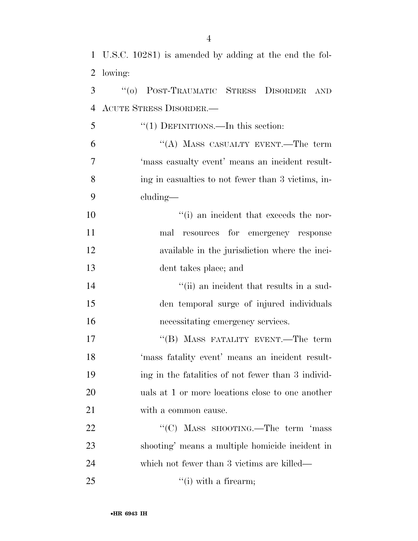|                | 1 U.S.C. 10281) is amended by adding at the end the fol- |
|----------------|----------------------------------------------------------|
| $\overline{2}$ | lowing:                                                  |
| 3              | "(0) POST-TRAUMATIC STRESS<br><b>DISORDER</b><br>AND     |
| 4              | <b>ACUTE STRESS DISORDER.—</b>                           |
| 5              | " $(1)$ DEFINITIONS.—In this section:                    |
| 6              | "(A) MASS CASUALTY EVENT.—The term                       |
| $\overline{7}$ | 'mass casualty event' means an incident result-          |
| 8              | ing in casualties to not fewer than 3 victims, in-       |
| 9              | cluding—                                                 |
| 10             | "(i) an incident that exceeds the nor-                   |
| 11             | resources for emergency response<br>mal                  |
| 12             | available in the jurisdiction where the inci-            |
| 13             | dent takes place; and                                    |
| 14             | "(ii) an incident that results in a sud-                 |
| 15             | den temporal surge of injured individuals                |
| 16             | necessitating emergency services.                        |
| 17             | "(B) MASS FATALITY EVENT.—The term                       |
| 18             | mass fatality event' means an incident result-           |
| 19             | ing in the fatalities of not fewer than 3 individ-       |
| 20             | uals at 1 or more locations close to one another         |
| 21             | with a common cause.                                     |
| 22             | "(C) MASS SHOOTING.—The term 'mass                       |
| 23             | shooting' means a multiple homicide incident in          |
| 24             | which not fewer than 3 victims are killed—               |
| 25             | $\lq\lq$ (i) with a firearm;                             |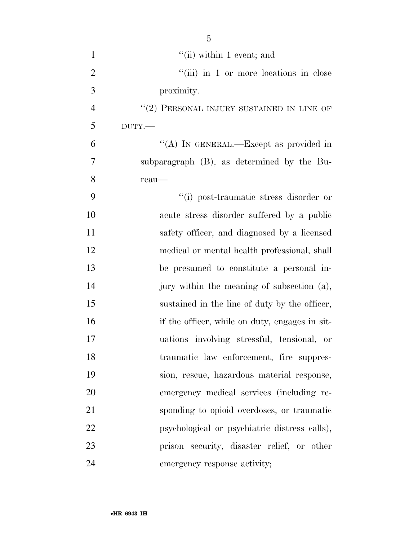| $\mathbf{1}$   | $``$ (ii) within 1 event; and                  |
|----------------|------------------------------------------------|
| $\overline{2}$ | "(iii) in 1 or more locations in close         |
| 3              | proximity.                                     |
| $\overline{4}$ | "(2) PERSONAL INJURY SUSTAINED IN LINE OF      |
| 5              | $DUTY$ .                                       |
| 6              | "(A) IN GENERAL.—Except as provided in         |
| 7              | subparagraph (B), as determined by the Bu-     |
| 8              | reau-                                          |
| 9              | "(i) post-traumatic stress disorder or         |
| 10             | acute stress disorder suffered by a public     |
| 11             | safety officer, and diagnosed by a licensed    |
| 12             | medical or mental health professional, shall   |
| 13             | be presumed to constitute a personal in-       |
| 14             | jury within the meaning of subsection (a),     |
| 15             | sustained in the line of duty by the officer,  |
| 16             | if the officer, while on duty, engages in sit- |
| 17             | uations involving stressful, tensional, or     |
| 18             | traumatic law enforcement, fire suppres-       |
| 19             | sion, rescue, hazardous material response,     |
| 20             | emergency medical services (including re-      |
| 21             | sponding to opioid overdoses, or traumatic     |
| 22             | psychological or psychiatric distress calls),  |
| 23             | prison security, disaster relief, or other     |
| 24             | emergency response activity;                   |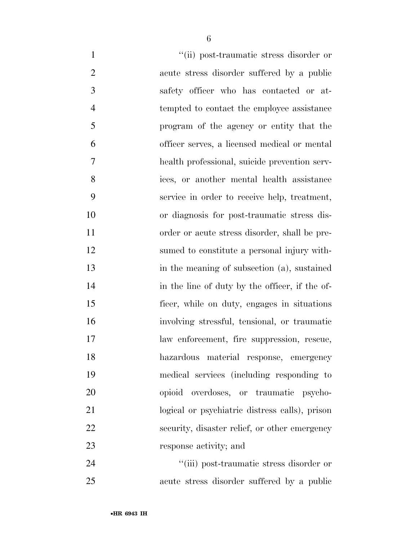$''(ii)$  post-traumatic stress disorder or acute stress disorder suffered by a public safety officer who has contacted or at-4 tempted to contact the employee assistance program of the agency or entity that the officer serves, a licensed medical or mental health professional, suicide prevention serv- ices, or another mental health assistance service in order to receive help, treatment, or diagnosis for post-traumatic stress dis- order or acute stress disorder, shall be pre- sumed to constitute a personal injury with- in the meaning of subsection (a), sustained 14 in the line of duty by the officer, if the of- ficer, while on duty, engages in situations involving stressful, tensional, or traumatic law enforcement, fire suppression, rescue, hazardous material response, emergency medical services (including responding to opioid overdoses, or traumatic psycho- logical or psychiatric distress calls), prison security, disaster relief, or other emergency response activity; and 24 ''(iii) post-traumatic stress disorder or

acute stress disorder suffered by a public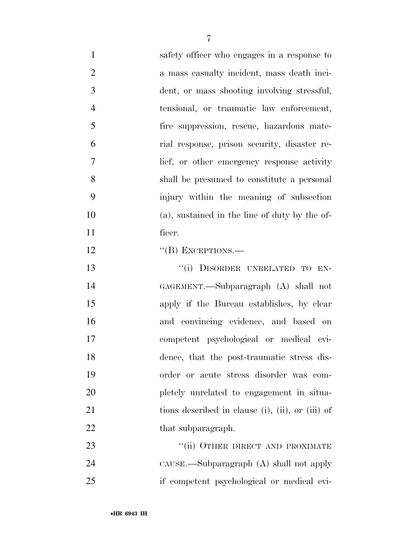- safety officer who engages in a response to 2 a mass casualty incident, mass death inci- dent, or mass shooting involving stressful, tensional, or traumatic law enforcement, fire suppression, rescue, hazardous mate- rial response, prison security, disaster re- lief, or other emergency response activity shall be presumed to constitute a personal injury within the meaning of subsection (a), sustained in the line of duty by the of- ficer. 12 "(B) EXCEPTIONS.— 13 "(i) DISORDER UNRELATED TO EN-GAGEMENT.—Subparagraph (A) shall not
- apply if the Bureau establishes, by clear and convincing evidence, and based on competent psychological or medical evi- dence, that the post-traumatic stress dis- order or acute stress disorder was com- pletely unrelated to engagement in situa-21 tions described in clause (i), (ii), or (iii) of 22 that subparagraph.

23 "(ii) OTHER DIRECT AND PROXIMATE CAUSE.—Subparagraph (A) shall not apply if competent psychological or medical evi-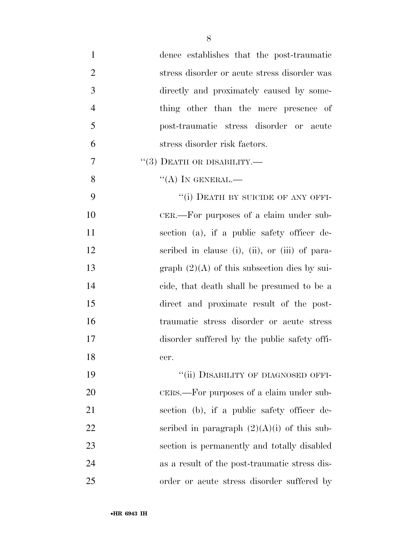| $\mathbf{1}$   | dence establishes that the post-traumatic      |
|----------------|------------------------------------------------|
| $\overline{2}$ | stress disorder or acute stress disorder was   |
| 3              | directly and proximately caused by some-       |
| $\overline{4}$ | thing other than the mere presence of          |
| 5              | post-traumatic stress disorder or acute        |
| 6              | stress disorder risk factors.                  |
| 7              | $\cdot\cdot(3)$ DEATH OR DISABILITY.—          |
| 8              | "(A) IN GENERAL.—                              |
| 9              | "(i) DEATH BY SUICIDE OF ANY OFFI-             |
| 10             | CER.—For purposes of a claim under sub-        |
| 11             | section (a), if a public safety officer de-    |
| 12             | scribed in clause (i), (ii), or (iii) of para- |
| 13             | graph $(2)(A)$ of this subsection dies by sui- |
| 14             | cide, that death shall be presumed to be a     |
| 15             | direct and proximate result of the post-       |
| 16             | traumatic stress disorder or acute stress      |
| 17             | disorder suffered by the public safety offi-   |
| 18             | cer.                                           |
| 19             | "(ii) DISABILITY OF DIAGNOSED OFFI-            |
| 20             | CERS.—For purposes of a claim under sub-       |
| 21             | section (b), if a public safety officer de-    |
| 22             | scribed in paragraph $(2)(A)(i)$ of this sub-  |
| 23             | section is permanently and totally disabled    |
| 24             | as a result of the post-traumatic stress dis-  |
| 25             | order or acute stress disorder suffered by     |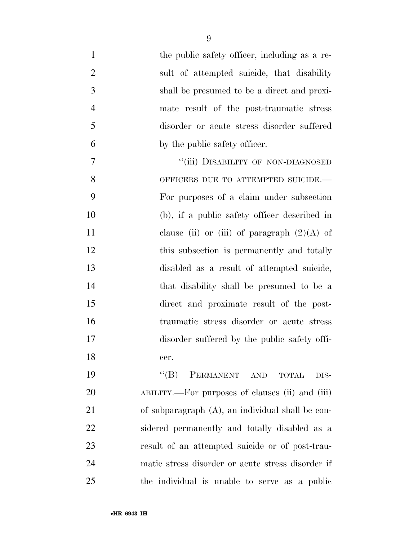| $\mathbf{1}$   | the public safety officer, including as a re-         |
|----------------|-------------------------------------------------------|
| $\overline{2}$ | sult of attempted suicide, that disability            |
| 3              | shall be presumed to be a direct and proxi-           |
| $\overline{4}$ | mate result of the post-traumatic stress              |
| 5              | disorder or acute stress disorder suffered            |
| 6              | by the public safety officer.                         |
| 7              | "(iii) DISABILITY OF NON-DIAGNOSED                    |
| 8              | OFFICERS DUE TO ATTEMPTED SUICIDE.-                   |
| 9              | For purposes of a claim under subsection              |
| 10             | (b), if a public safety officer described in          |
| 11             | clause (ii) or (iii) of paragraph $(2)(A)$ of         |
| 12             | this subsection is permanently and totally            |
| 13             | disabled as a result of attempted suicide,            |
| 14             | that disability shall be presumed to be a             |
| 15             | direct and proximate result of the post-              |
| 16             | traumatic stress disorder or acute stress             |
| 17             | disorder suffered by the public safety offi-          |
| 18             | cer.                                                  |
| 19             | $\lq\lq (B)$<br>PERMANENT AND<br><b>TOTAL</b><br>DIS- |
| 20             | ABILITY.—For purposes of clauses (ii) and (iii)       |
| 21             | of subparagraph (A), an individual shall be con-      |
| 22             | sidered permanently and totally disabled as a         |
| 23             | result of an attempted suicide or of post-trau-       |
| 24             | matic stress disorder or acute stress disorder if     |
| 25             | the individual is unable to serve as a public         |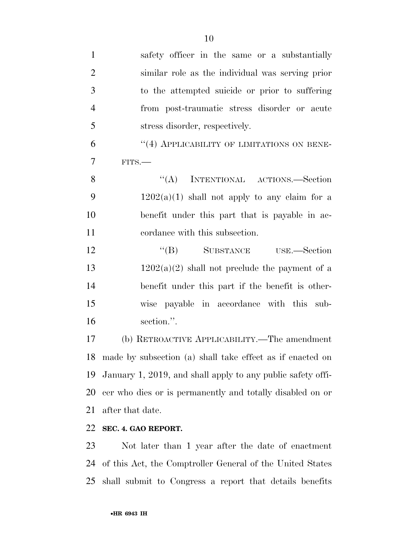| $\mathbf{1}$   | safety officer in the same or a substantially               |
|----------------|-------------------------------------------------------------|
| $\overline{2}$ | similar role as the individual was serving prior            |
| 3              | to the attempted suicide or prior to suffering              |
| $\overline{4}$ | from post-traumatic stress disorder or acute                |
| 5              | stress disorder, respectively.                              |
| 6              | "(4) APPLICABILITY OF LIMITATIONS ON BENE-                  |
| $\overline{7}$ | $FITS$ .                                                    |
| 8              | ``(A)<br>INTENTIONAL ACTIONS.—Section                       |
| 9              | $1202(a)(1)$ shall not apply to any claim for a             |
| 10             | benefit under this part that is payable in ac-              |
| 11             | cordance with this subsection.                              |
| 12             | "(B) SUBSTANCE USE.—Section                                 |
| 13             | $1202(a)(2)$ shall not preclude the payment of a            |
| 14             | benefit under this part if the benefit is other-            |
| 15             | wise payable in accordance with this sub-                   |
| 16             | section.".                                                  |
| 17             | (b) RETROACTIVE APPLICABILITY.—The amendment                |
| 18             | made by subsection (a) shall take effect as if enacted on   |
| 19             | January 1, 2019, and shall apply to any public safety offi- |
| 20             | cer who dies or is permanently and totally disabled on or   |
| 21             | after that date.                                            |
| 22             | SEC. 4. GAO REPORT.                                         |
| 23             | Not later than 1 year after the date of enactment           |
| 24             | of this Act, the Comptroller General of the United States   |

shall submit to Congress a report that details benefits